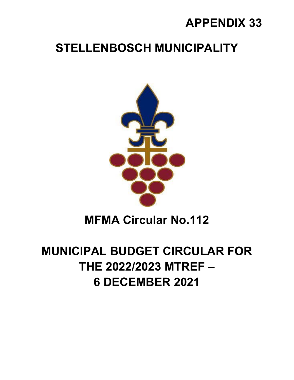## **APPENDIX 33**

## **STELLENBOSCH MUNICIPALITY**



## **MFMA Circular No.112**

# **MUNICIPAL BUDGET CIRCULAR FOR THE 2022/2023 MTREF – 6 DECEMBER 2021**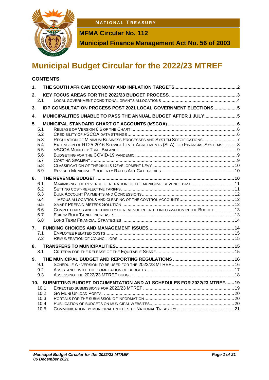**1 . 1 . 1 N A T I O N A L T R E A S U R Y**



**MFMA Circular No. 112**

**Municipal Finance Management Act No. 56 of 2003**

## **Municipal Budget Circular for the 2022/23 MTREF**

### **CONTENTS**

| 1.                                                                |                                                                                                                                                      |  |
|-------------------------------------------------------------------|------------------------------------------------------------------------------------------------------------------------------------------------------|--|
| 2.<br>2.1                                                         |                                                                                                                                                      |  |
| 3.                                                                | <b>IDP CONSULTATION PROCESS POST 2021 LOCAL GOVERNMENT ELECTIONS5</b>                                                                                |  |
| 4.                                                                | MUNICIPALITIES UNABLE TO PASS THE ANNUAL BUDGET AFTER 1 JULY5                                                                                        |  |
| 5.<br>5.1<br>5.2<br>5.3<br>5.4<br>5.5<br>5.6<br>5.7<br>5.8<br>5.9 | REGULATION OF MINIMUM BUSINESS PROCESSES AND SYSTEM SPECIFICATIONS7<br>EXTENSION OF RT25-2016 SERVICE LEVEL AGREEMENTS (SLA) FOR FINANCIAL SYSTEMS8  |  |
| 6.                                                                |                                                                                                                                                      |  |
| 6.1<br>6.2<br>6.3<br>6.4<br>6.5<br>6.6<br>6.7<br>6.8              | MAXIMISING THE REVENUE GENERATION OF THE MUNICIPAL REVENUE BASE  11<br>COMPLETENESS AND CREDIBILITY OF REVENUE RELATED INFORMATION IN THE BUDGET  13 |  |
| 7.1<br>7.2                                                        |                                                                                                                                                      |  |
| 8.<br>8.1                                                         |                                                                                                                                                      |  |
| 9.<br>9.1<br>9.2<br>9.3                                           |                                                                                                                                                      |  |
|                                                                   | 10. SUBMITTING BUDGET DOCUMENTATION AND A1 SCHEDULES FOR 2022/23 MTREF 19                                                                            |  |
| 10.1<br>10.2<br>10.3<br>10.4<br>10.5                              |                                                                                                                                                      |  |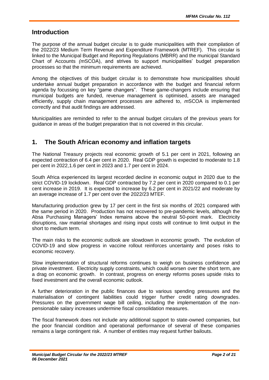### **Introduction**

The purpose of the annual budget circular is to guide municipalities with their compilation of the 2022/23 Medium Term Revenue and Expenditure Framework (MTREF). This circular is linked to the Municipal Budget and Reporting Regulations (MBRR) and the municipal Standard Chart of Accounts *(m*SCOA), and strives to support municipalities' budget preparation processes so that the minimum requirements are achieved.

Among the objectives of this budget circular is to demonstrate how municipalities should undertake annual budget preparation in accordance with the budget and financial reform agenda by focussing on key "game changers". These game-changers include ensuring that municipal budgets are funded, revenue management is optimised, assets are managed efficiently, supply chain management processes are adhered to, *m*SCOA is implemented correctly and that audit findings are addressed.

Municipalities are reminded to refer to the annual budget circulars of the previous years for guidance in areas of the budget preparation that is not covered in this circular.

## **1. The South African economy and inflation targets**

The National Treasury projects real economic growth of 5.1 per cent in 2021, following an expected contraction of 6.4 per cent in 2020. Real GDP growth is expected to moderate to 1.8 per cent in 2022,1.6 per cent in 2023 and 1.7 per cent in 2024.

South Africa experienced its largest recorded decline in economic output in 2020 due to the strict COVID-19 lockdown. Real GDP contracted by 7.2 per cent in 2020 compared to 0.1 per cent increase in 2019. It is expected to increase by 6.2 per cent in 2021/22 and moderate by an average increase of 1.7 per cent over the 2022/23 MTEF.

Manufacturing production grew by 17 per cent in the first six months of 2021 compared with the same period in 2020. Production has not recovered to pre-pandemic levels, although the Absa Purchasing Managers' Index remains above the neutral 50-point mark. Electricity disruptions, raw material shortages and rising input costs will continue to limit output in the short to medium term.

The main risks to the economic outlook are slowdown in economic growth. The evolution of COVID-19 and slow progress in vaccine rollout reinforces uncertainty and poses risks to economic recovery.

Slow implementation of structural reforms continues to weigh on business confidence and private investment. Electricity supply constraints, which could worsen over the short term, are a drag on economic growth. In contrast, progress on energy reforms poses upside risks to fixed investment and the overall economic outlook.

A further deterioration in the public finances due to various spending pressures and the materialisation of contingent liabilities could trigger further credit rating downgrades. Pressures on the government wage bill ceiling, including the implementation of the nonpensionable salary increases undermine fiscal consolidation measures.

The fiscal framework does not include any additional support to state-owned companies, but the poor financial condition and operational performance of several of these companies remains a large contingent risk. A number of entities may request further bailouts.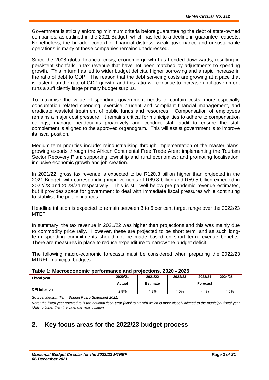Government is strictly enforcing minimum criteria before guaranteeing the debt of state-owned companies, as outlined in the 2021 Budget, which has led to a decline in guarantee requests. Nonetheless, the broader context of financial distress, weak governance and unsustainable operations in many of these companies remains unaddressed.

Since the 2008 global financial crisis, economic growth has trended downwards, resulting in persistent shortfalls in tax revenue that have not been matched by adjustments to spending growth. This in turn has led to wider budget deficits, higher borrowing and a rapid increase in the ratio of debt to GDP. The reason that the debt servicing costs are growing at a pace that is faster than the rate of GDP growth, and this ratio will continue to increase until government runs a sufficiently large primary budget surplus.

To maximise the value of spending, government needs to contain costs, more especially consumption related spending, exercise prudent and compliant financial management, and eradicate wasteful treatment of public funds and resources. Compensation of employees remains a major cost pressure. It remains critical for municipalities to adhere to compensation ceilings, manage headcounts proactively and conduct staff audit to ensure the staff complement is aligned to the approved organogram. This will assist government is to improve its fiscal position.

Medium-term priorities include: reindustrialising through implementation of the master plans; growing exports through the African Continental Free Trade Area; implementing the Tourism Sector Recovery Plan; supporting township and rural economies; and promoting localisation, inclusive economic growth and job creation.

In 2021/22, gross tax revenue is expected to be R120.3 billion higher than projected in the 2021 Budget, with corresponding improvements of R69.8 billion and R59.5 billion expected in 2022/23 and 2023/24 respectively. This is still well below pre-pandemic revenue estimates, but it provides space for government to deal with immediate fiscal pressures while continuing to stabilise the public finances.

Headline inflation is expected to remain between 3 to 6 per cent target range over the 2022/23 MTEF.

In summary, the tax revenue in 2021/22 was higher than projections and this was mainly due to commodity price rally. However, these are projected to be short term, and as such longterm spending commitments should not be made based on short term revenue benefits. There are measures in place to reduce expenditure to narrow the budget deficit.

The following macro-economic forecasts must be considered when preparing the 2022/23 MTREF municipal budgets.

| Table 1: Macroeconomic performance and projections, 2020 - 2025 |  |  |
|-----------------------------------------------------------------|--|--|
|-----------------------------------------------------------------|--|--|

| <b>Fiscal year</b>   | 2020/21 | 2021/22         | 2022/23 | 2023/24  | 2024/25 |
|----------------------|---------|-----------------|---------|----------|---------|
|                      | Actual  | <b>Estimate</b> |         | Forecast |         |
| <b>CPI Inflation</b> | 2.9%    | 4.9%            | 4.0%    | 4.4%     | 4.5%    |

*Source: Medium Term Budget Policy Statement 2021.*

*Note: the fiscal year referred to is the national fiscal year (April to March) which is more closely aligned to the municipal fiscal year (July to June) than the calendar year inflation.*

## **2. Key focus areas for the 2022/23 budget process**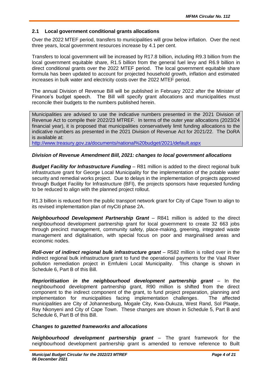#### **2.1 Local government conditional grants allocations**

Over the 2022 MTEF period, transfers to municipalities will grow below inflation. Over the next three years, local government resources increase by 4.1 per cent.

Transfers to local government will be increased by R17.8 billion, including R9.3 billion from the local government equitable share, R1.5 billion from the general fuel levy and R6.9 billion in direct conditional grants over the 2022 MTEF period. The local government equitable share formula has been updated to account for projected household growth, inflation and estimated increases in bulk water and electricity costs over the 2022 MTEF period.

The annual Division of Revenue Bill will be published in February 2022 after the Minister of Finance's budget speech. The Bill will specify grant allocations and municipalities must reconcile their budgets to the numbers published herein.

Municipalities are advised to use the indicative numbers presented in the 2021 Division of Revenue Act to compile their 2022/23 MTREF. In terms of the outer year allocations (2023/24 financial year), it is proposed that municipalities conservatively limit funding allocations to the indicative numbers as presented in the 2021 Division of Revenue Act for 2021/22. The DoRA is available at:

http://www.treasury.gov.za/documents/national%20budget/2021/default.aspx

#### *Division of Revenue Amendment Bill, 2021: changes to local government allocations*

*Budget Facility for Infrastructure Funding* – R81 million is added to the direct regional bulk infrastructure grant for George Local Municipality for the implementation of the potable water security and remedial works project. Due to delays in the implementation of projects approved through Budget Facility for Infrastructure (BFI), the projects sponsors have requested funding to be reduced to align with the planned project rollout.

R1.3 billion is reduced from the public transport network grant for City of Cape Town to align to its revised implementation plan of myCiti phase 2A.

*Neighbourhood Development Partnership Grant –* R841 million is added to the direct neighbourhood development partnership grant for local government to create 32 663 jobs through precinct management, community safety, place-making, greening, integrated waste management and digitalisation, with special focus on poor and marginalised areas and economic nodes.

*Roll-over of indirect regional bulk infrastructure grant –* R582 million is rolled over in the indirect regional bulk infrastructure grant to fund the operational payments for the Vaal River pollution remediation project in Emfuleni Local Municipality. This change is shown in Schedule 6, Part B of this Bill.

*Reprioritisation in the neighbourhood development partnership grant –* In the neighbourhood development partnership grant, R90 million is shifted from the direct component to the indirect component of the grant, to fund project preparation, planning and implementation for municipalities facing implementation challenges. The affected municipalities are City of Johannesburg, Mogale City, Kwa-Dukuza, West Rand, Sol Plaatje, Ray Nkonyeni and City of Cape Town. These changes are shown in Schedule 5, Part B and Schedule 6, Part B of this Bill.

#### *Changes to gazetted frameworks and allocations*

*Neighbourhood development partnership grant –* The grant framework for the neighbourhood development partnership grant is amended to remove reference to Built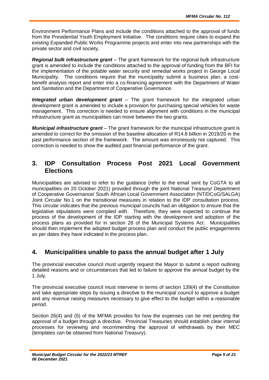Environment Performance Plans and include the conditions attached to the approval of funds from the Presidential Youth Employment Initiative. The conditions require cities to expand the existing Expanded Public Works Programme projects and enter into new partnerships with the private sector and civil society.

*Regional bulk infrastructure grant –* The grant framework for the regional bulk infrastructure grant is amended to include the conditions attached to the approval of funding from the BFI for the implementation of the potable water security and remedial works project in George Local Municipality. The conditions require that the municipality submit a business plan, a costbenefit analysis report and enter into a co-financing agreement with the Department of Water and Sanitation and the Department of Cooperative Governance.

*Integrated urban development grant –* The grant framework for the integrated urban development grant is amended to include a provision for purchasing special vehicles for waste management. This correction is needed to ensure alignment with conditions in the municipal infrastructure grant as municipalities can move between the two grants.

*Municipal infrastructure grant –* The grant framework for the municipal infrastructure grant is amended to correct for the omission of the baseline allocation of R14.8 billion in 2019/20 in the past performance section of the framework. The amount was erroneously not captured. This correction is needed to show the audited past financial performance of the grant.

## **3. IDP Consultation Process Post 2021 Local Government Elections**

Municipalities are advised to refer to the guidance (refer to the email sent by CoGTA to all municipalities on 20 October 2021) provided through the joint National Treasury/ Department of Cooperative Governance/ South African Local Government Association (NT/DCoG/SALGA) Joint Circular No.1 on the transitional measures in relation to the IDP consultation process. This circular indicates that the previous municipal councils had an obligation to ensure that the legislative stipulations were complied with. Therefore, they were expected to continue the process of the development of the IDP starting with the development and adoption of the process plans as provided for in section 28 of the Municipal Systems Act. Municipalities should then implement the adopted budget process plan and conduct the public engagements as per dates they have indicated in the process plan.

## **4. Municipalities unable to pass the annual budget after 1 July**

The provincial executive council must urgently request the Mayor to submit a report outlining detailed reasons and or circumstances that led to failure to approve the annual budget by the 1 July.

The provincial executive council must intervene in terms of section 139(4) of the Constitution and take appropriate steps by issuing a directive to the municipal council to approve a budget and any revenue raising measures necessary to give effect to the budget within a reasonable period.

Section 26(4) and (5) of the MFMA provides for how the expenses can be met pending the approval of a budget through a directive. Provincial Treasuries should establish clear internal processes for reviewing and recommending the approval of withdrawals by their MEC (templates can be obtained from National Treasury).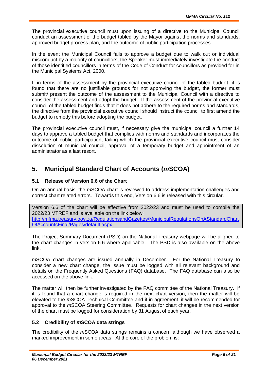The provincial executive council must upon issuing of a directive to the Municipal Council conduct an assessment of the budget tabled by the Mayor against the norms and standards, approved budget process plan, and the outcome of public participation processes.

In the event the Municipal Council fails to approve a budget due to walk out or individual misconduct by a majority of councillors, the Speaker must immediately investigate the conduct of those identified councillors in terms of the Code of Conduct for councillors as provided for in the Municipal Systems Act, 2000.

If in terms of the assessment by the provincial executive council of the tabled budget, it is found that there are no justifiable grounds for not approving the budget, the former must submit/ present the outcome of the assessment to the Municipal Council with a directive to consider the assessment and adopt the budget. If the assessment of the provincial executive council of the tabled budget finds that it does not adhere to the required norms and standards, the directive from the provincial executive council should instruct the council to first amend the budget to remedy this before adopting the budget.

The provincial executive council must, if necessary give the municipal council a further 14 days to approve a tabled budget that complies with norms and standards and incorporates the outcome of public participation, failing which the provincial executive council must consider dissolution of municipal council, approval of a temporary budget and appointment of an administrator as a last resort.

## **5. Municipal Standard Chart of Accounts (***m***SCOA)**

#### **5.1 Release of Version 6.6 of the Chart**

On an annual basis, the *m*SCOA chart is reviewed to address implementation challenges and correct chart related errors. Towards this end, Version 6.6 is released with this circular.

Version 6.6 of the chart will be effective from 2022/23 and must be used to compile the 2022/23 MTREF and is available on the link below: http://mfma.treasury.gov.za/RegulationsandGazettes/MunicipalRegulationsOnAStandardChart OfAccountsFinal/Pages/default.aspx

The Project Summary Document (PSD) on the National Treasury webpage will be aligned to the chart changes in version 6.6 where applicable. The PSD is also available on the above link.

*m*SCOA chart changes are issued annually in December. For the National Treasury to consider a new chart change, the issue must be logged with all relevant background and details on the Frequently Asked Questions (FAQ) database. The FAQ database can also be accessed on the above link.

The matter will then be further investigated by the FAQ committee of the National Treasury. If it is found that a chart change is required in the next chart version, then the matter will be elevated to the *m*SCOA Technical Committee and if in agreement, it will be recommended for approval to the *m*SCOA Steering Committee. Requests for chart changes in the next version of the chart must be logged for consideration by 31 August of each year.

#### **5.2 Credibility of** *m***SCOA data strings**

The credibility of the *m*SCOA data strings remains a concern although we have observed a marked improvement in some areas. At the core of the problem is: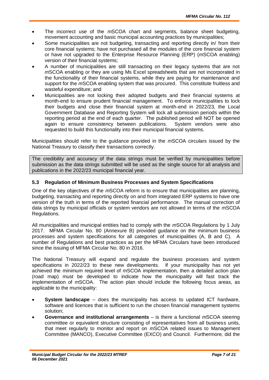- The incorrect use of the *m*SCOA chart and segments, balance sheet budgeting, movement accounting and basic municipal accounting practices by municipalities;
- Some municipalities are not budgeting, transacting and reporting directly in/ from their core financial systems; have not purchased all the modules of the core financial system or have not upgraded to the Enterprise Resource Planning (ERP) (*m*SCOA enabling) version of their financial systems;
- A number of municipalities are still transacting on their legacy systems that are not *m*SCOA enabling or they are using Ms Excel spreadsheets that are not incorporated in the functionality of their financial systems, while they are paying for maintenance and support for the *m*SCOA enabling system that was procured. This constitute fruitless and wasteful expenditure; and
- Municipalities are not locking their adopted budgets and their financial systems at month-end to ensure prudent financial management. To enforce municipalities to lock their budgets and close their financial system at month-end in 2022/23, the Local Government Database and Reporting System will lock all submission periods within the reporting period at the end of each quarter. The published period will NOT be opened again to ensure consistency between publications. System vendors were also requested to build this functionality into their municipal financial systems.

Municipalities should refer to the guidance provided in the *m*SCOA circulars issued by the National Treasury to classify their transactions correctly.

The credibility and accuracy of the data strings must be verified by municipalities before submission as the data strings submitted will be used as the single source for all analysis and publications in the 2022/23 municipal financial year.

#### **5.3 Regulation of Minimum Business Processes and System Specifications**

One of the key objectives of the *m*SCOA reform is to ensure that municipalities are planning, budgeting, transacting and reporting directly on and from integrated ERP systems to have one version of the truth in terms of the reported financial performance. The manual correction of data strings by municipal officials or system vendors are not allowed in terms of the *m*SCOA Regulations.

All municipalities and municipal entities had to comply with the *m*SCOA Regulations by 1 July 2017. MFMA Circular No. 80 (Annexure B) provided guidance on the minimum business processes and system specifications for all categories of municipalities (A, B and C). A number of Regulations and best practices as per the MFMA Circulars have been introduced since the issuing of MFMA Circular No. 80 in 2016.

The National Treasury will expand and regulate the business processes and system specifications in 2022/23 to these new developments. If your municipality has not yet achieved the minimum required level of *m*SCOA implementation, then a detailed action plan (road map) must be developed to indicate how the municipality will fast track the implementation of *m*SCOA. The action plan should include the following focus areas, as applicable to the municipality:

- **System landscape** does the municipality has access to updated ICT hardware, software and licences that is sufficient to run the chosen financial management systems solution;
- **Governance and institutional arrangements**  is there a functional *m*SCOA steering committee or equivalent structure consisting of representatives from all business units, that meet regularly to monitor and report on *m*SCOA related issues to Management Committee (MANCO), Executive Committee (EXCO) and Council. Furthermore, did the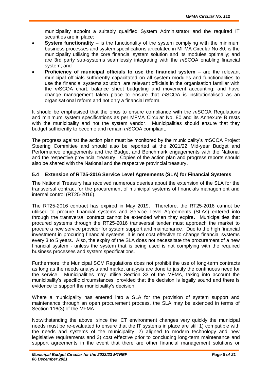municipality appoint a suitably qualified System Administrator and the required IT securities are in place;

- **System functionality** is the functionality of the system complying with the minimum business processes and system specifications articulated in MFMA Circular No 80; is the municipality utilising the core financial system solution and its modules optimally; and are 3rd party sub-systems seamlessly integrating with the *m*SCOA enabling financial system; and
- **Proficiency of municipal officials to use the financial system** are the relevant municipal officials sufficiently capacitated on all system modules and functionalities to use the financial systems solution; are relevant officials in the organisation familiar with the *m*SCOA chart, balance sheet budgeting and movement accounting; and have change management taken place to ensure that *m*SCOA is institutionalised as an organisational reform and not only a financial reform.

It should be emphasised that the onus to ensure compliance with the *m*SCOA Regulations and minimum system specifications as per MFMA Circular No. 80 and its Annexure B rests with the municipality and not the system vendor. Municipalities should ensure that they budget sufficiently to become and remain *m*SCOA compliant.

The progress against the action plan must be monitored by the municipality's *m*SCOA Project Steering Committee and should also be reported at the 2021/22 Mid-year Budget and Performance engagements and the Budget and Benchmark engagements with the National and the respective provincial treasury. Copies of the action plan and progress reports should also be shared with the National and the respective provincial treasury.

#### **5.4 Extension of RT25-2016 Service Level Agreements (SLA) for Financial Systems**

The National Treasury has received numerous queries about the extension of the SLA for the transversal contract for the procurement of municipal systems of financials management and internal control (RT25-2016).

The RT25-2016 contract has expired in May 2019. Therefore, the RT25-2016 cannot be utilised to procure financial systems and Service Level Agreements (SLAs) entered into through the transversal contract cannot be extended when they expire. Municipalities that procured systems through the RT25-2016 transversal tender must approach the market to procure a new service provider for system support and maintenance. Due to the high financial investment in procuring financial systems, it is not cost effective to change financial systems every 3 to 5 years. Also, the expiry of the SLA does not necessitate the procurement of a new financial system - unless the system that is being used is not complying with the required business processes and system specifications.

Furthermore, the Municipal SCM Regulations does not prohibit the use of long-term contracts as long as the needs analysis and market analysis are done to justify the continuous need for the service. Municipalities may utilise Section 33 of the MFMA, taking into account the municipality's specific circumstances, provided that the decision is legally sound and there is evidence to support the municipality's decision.

Where a municipality has entered into a SLA for the provision of system support and maintenance through an open procurement process, the SLA may be extended in terms of Section 116(3) of the MFMA.

Notwithstanding the above, since the ICT environment changes very quickly the municipal needs must be re-evaluated to ensure that the IT systems in place are still 1) compatible with the needs and systems of the municipality, 2) aligned to modern technology and new legislative requirements and 3) cost effective prior to concluding long-term maintenance and support agreements in the event that there are other financial management solutions or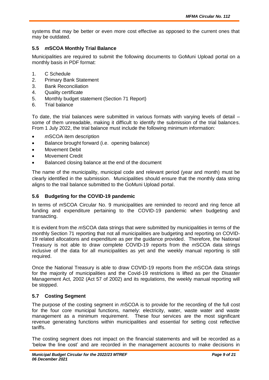systems that may be better or even more cost effective as opposed to the current ones that may be outdated.

#### **5.5** *m***SCOA Monthly Trial Balance**

Municipalities are required to submit the following documents to GoMuni Upload portal on a monthly basis in PDF format:

- 1. C Schedule
- 2. Primary Bank Statement
- 3. Bank Reconciliation
- 4. Quality certificate
- 5. Monthly budget statement (Section 71 Report)
- 6. Trial balance

To date, the trial balances were submitted in various formats with varying levels of detail – some of them unreadable, making it difficult to identify the submission of the trial balances. From 1 July 2022, the trial balance must include the following minimum information:

- *m*SCOA item description
- Balance brought forward (i.e. opening balance)
- Movement Debit
- Movement Credit
- Balanced closing balance at the end of the document

The name of the municipality, municipal code and relevant period (year and month) must be clearly identified in the submission. Municipalities should ensure that the monthly data string aligns to the trail balance submitted to the GoMuni Upload portal.

#### **5.6 Budgeting for the COVID-19 pandemic**

In terms of *m*SCOA Circular No. 9 municipalities are reminded to record and ring fence all funding and expenditure pertaining to the COVID-19 pandemic when budgeting and transacting.

It is evident from the *m*SCOA data strings that were submitted by municipalities in terms of the monthly Section 71 reporting that not all municipalities are budgeting and reporting on COVID-19 related allocations and expenditure as per the guidance provided. Therefore, the National Treasury is not able to draw complete COVID-19 reports from the *m*SCOA data strings inclusive of the data for all municipalities as yet and the weekly manual reporting is still required.

Once the National Treasury is able to draw COVID-19 reports from the *m*SCOA data strings for the majority of municipalities and the Covid-19 restrictions is lifted as per the Disaster Management Act, 2002 (Act 57 of 2002) and its regulations, the weekly manual reporting will be stopped.

#### **5.7 Costing Segment**

The purpose of the costing segment in *m*SCOA is to provide for the recording of the full cost for the four core municipal functions, namely: electricity, water, waste water and waste management as a minimum requirement. These four services are the most significant revenue generating functions within municipalities and essential for setting cost reflective tariffs.

The costing segment does not impact on the financial statements and will be recorded as a 'below the line cost' and are recorded in the management accounts to make decisions in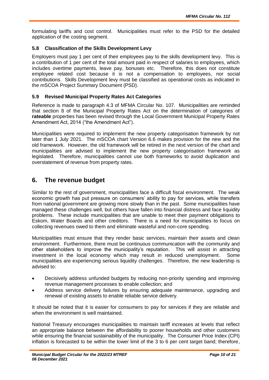formulating tariffs and cost control. Municipalities must refer to the PSD for the detailed application of the costing segment.

#### **5.8 Classification of the Skills Development Levy**

Employers must pay 1 per cent of their employees pay to the skills development levy. This is a contribution of 1 per cent of the total amount paid in respect of salaries to employees, which includes overtime payments, leave pay, bonuses etc. Therefore, this does not constitute employee related cost because it is not a compensation to employees, nor social contributions. Skills Development levy must be classified as operational costs as indicated in the *m*SCOA Project Summary Document (PSD).

#### **5.9 Revised Municipal Property Rates Act Categories**

Reference is made to paragraph 4.3 of MFMA Circular No. 107. Municipalities are reminded that section 8 of the Municipal Property Rates Act on the determination of categories of **rateable** properties has been revised through the Local Government Municipal Property Rates Amendment Act, 2014 ("the Amendment Act").

Municipalities were required to implement the new property categorisation framework by not later than 1 July 2021. The *m*SCOA chart Version 6.6 makes provision for the new and the old framework. However, the old framework will be retired in the next version of the chart and municipalities are advised to implement the new property categorisation framework as legislated. Therefore, municipalities cannot use both frameworks to avoid duplication and overstatement of revenue from property rates.

## **6. The revenue budget**

Similar to the rest of government, municipalities face a difficult fiscal environment. The weak economic growth has put pressure on consumers' ability to pay for services, while transfers from national government are growing more slowly than in the past. Some municipalities have managed these challenges well, but others have fallen into financial distress and face liquidity problems. These include municipalities that are unable to meet their payment obligations to Eskom, Water Boards and other creditors. There is a need for municipalities to focus on collecting revenues owed to them and eliminate wasteful and non-core spending.

Municipalities must ensure that they render basic services, maintain their assets and clean environment. Furthermore, there must be continuous communication with the community and other stakeholders to improve the municipality's reputation. This will assist in attracting investment in the local economy which may result in reduced unemployment. Some municipalities are experiencing serious liquidity challenges. Therefore, the new leadership is advised to:

- Decisively address unfunded budgets by reducing non-priority spending and improving revenue management processes to enable collection; and
- Address service delivery failures by ensuring adequate maintenance, upgrading and renewal of existing assets to enable reliable service delivery.

It should be noted that it is easier for consumers to pay for services if they are reliable and when the environment is well maintained.

National Treasury encourages municipalities to maintain tariff increases at levels that reflect an appropriate balance between the affordability to poorer households and other customers while ensuring the financial sustainability of the municipality. The Consumer Price Index (CPI) inflation is forecasted to be within the lower limit of the 3 to 6 per cent target band; therefore,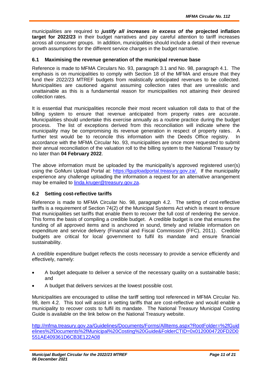municipalities are required to *justify all increases in excess of the* **projected inflation target for 2022/23** in their budget narratives and pay careful attention to tariff increases across all consumer groups. In addition, municipalities should include a detail of their revenue growth assumptions for the different service charges in the budget narrative.

#### **6.1 Maximising the revenue generation of the municipal revenue base**

Reference is made to MFMA Circulars No. 93, paragraph 3.1 and No. 98, paragraph 4.1. The emphasis is on municipalities to comply with Section 18 of the MFMA and ensure that they fund their 2022/23 MTREF budgets from realistically anticipated revenues to be collected. Municipalities are cautioned against assuming collection rates that are unrealistic and unattainable as this is a fundamental reason for municipalities not attaining their desired collection rates.

It is essential that municipalities reconcile their most recent valuation roll data to that of the billing system to ensure that revenue anticipated from property rates are accurate. Municipalities should undertake this exercise annually as a routine practice during the budget process. The list of exceptions derived from this reconciliation will indicate where the municipality may be compromising its revenue generation in respect of property rates. A further test would be to reconcile this information with the Deeds Office registry. In accordance with the MFMA Circular No. 93, municipalities are once more requested to submit their annual reconciliation of the valuation roll to the billing system to the National Treasury by no later than **04 February 2022**.

The above information must be uploaded by the municipality's approved registered user(s) using the GoMuni Upload Portal at: https://lguploadportal.treasury.gov.za/. If the municipality experience any challenge uploading the information a request for an alternative arrangement may be emailed to linda.kruger@treasury.gov.za.

#### **6.2 Setting cost-reflective tariffs**

Reference is made to MFMA Circular No. 98, paragraph 4.2. The setting of cost-reflective tariffs is a requirement of Section 74(2) of the Municipal Systems Act which is meant to ensure that municipalities set tariffs that enable them to recover the full cost of rendering the service. This forms the basis of compiling a credible budget. A credible budget is one that ensures the funding of all approved items and is anchored in sound, timely and reliable information on expenditure and service delivery (Financial and Fiscal Commission (FFC), 2011). Credible budgets are critical for local government to fulfil its mandate and ensure financial sustainability.

A credible expenditure budget reflects the costs necessary to provide a service efficiently and effectively, namely:

- A budget adequate to deliver a service of the necessary quality on a sustainable basis; and
- A budget that delivers services at the lowest possible cost.

Municipalities are encouraged to utilise the tariff setting tool referenced in MFMA Circular No. 98, item 4.2. This tool will assist in setting tariffs that are cost-reflective and would enable a municipality to recover costs to fulfil its mandate. The National Treasury Municipal Costing Guide is available on the link below on the National Treasury website.

http://mfma.treasury.gov.za/Guidelines/Documents/Forms/AllItems.aspx?RootFolder=%2fGuid elines%2fDocuments%2fMunicipal%20Costing%20Guide&FolderCTID=0x0120004720FD2D0 551AE409361D6CB3E122A08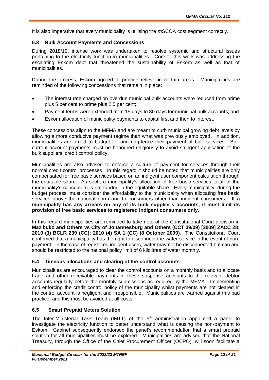It is also imperative that every municipality is utilising the *m*SCOA cost segment correctly.

#### **6.3 Bulk Account Payments and Concessions**

During 2018/19, intense work was undertaken to resolve systemic and structural issues pertaining to the electricity function in municipalities. Core to this work was addressing the escalating Eskom debt that threatened the sustainability of Eskom as well as that of municipalities.

During the process, Eskom agreed to provide relieve in certain areas. Municipalities are reminded of the following concessions that remain in place:

- The interest rate charged on overdue municipal bulk accounts were reduced from prime plus 5 per cent to prime plus 2.5 per cent;
- Payment terms were extended from 15 days to 30 days for municipal bulk accounts; and
- Eskom allocation of municipality payments to capital first and then to interest.

These concessions align to the MFMA and are meant to curb municipal growing debt levels by allowing a more conducive payment regime than what was previously employed. In addition, municipalities are urged to budget for and ring-fence their payment of bulk services. Bulk current account payments must be honoured religiously to avoid stringent application of the bulk suppliers' credit control policy.

Municipalities are also advised to enforce a culture of payment for services through their normal credit control processes. In this regard it should be noted that municipalities are only compensated for free basic services based on an indigent user component calculation through the equitable share. As such, a municipality's allocation of free basic services to all of the municipality's consumers is not funded in the equitable share. Every municipality, during the budget process, must consider the affordability to the municipality when allocating free basic services above the national norm and to consumers other than indigent consumers. **If a municipality has any arrears on any of its bulk supplier's accounts, it must limit its provision of free basic services to registered indigent consumers only**.

In this regard municipalities are reminded to take note of the Constitutional Court decision in **Mazibuko and Others vs City of Johannesburg and Others (CCT 39/09) [2009] ZACC 28; 2010 (3) BCLR 239 (CC); 2010 (4) SA 1 (CC) (8 October 2009)**. The Constitutional Court confirmed that a municipality has the right to disconnect the water service in the event of nonpayment. In the case of registered indigent users, water may not be disconnected but can and should be restricted to the national policy limit of 6 kilolitres of water monthly.

#### **6.4 Timeous allocations and clearing of the control accounts**

Municipalities are encouraged to clear the control accounts on a monthly basis and to allocate trade and other receivable payments in these suspense accounts to the relevant debtor accounts regularly before the monthly submissions as required by the MFMA. Implementing and enforcing the credit control policy of the municipality whilst payments are not cleared in the control account is negligent and irresponsible. Municipalities are warned against this bad practice, and this must be avoided at all costs.

#### **6.5 Smart Prepaid Meters Solution**

The Inter-Ministerial Task Team (IMTT) of the  $5<sup>th</sup>$  administration appointed a panel to investigate the electricity function to better understand what is causing the non-payment to Eskom. Cabinet subsequently endorsed the panel's recommendation that a smart prepaid solution for all municipalities must be explored. Municipalities are advised that the National Treasury, through the Office of the Chief Procurement Officer (OCPO), will soon facilitate a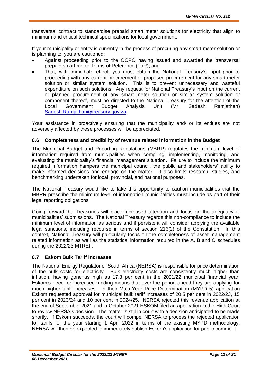transversal contract to standardise prepaid smart meter solutions for electricity that align to minimum and critical technical specifications for local government.

If your municipality or entity is currently in the process of procuring any smart meter solution or is planning to, you are cautioned:

- Against proceeding prior to the OCPO having issued and awarded the transversal prepaid smart meter Terms of Reference (ToR); and
- That, with immediate effect, you must obtain the National Treasury's input prior to proceeding with any current procurement or proposed procurement for any smart meter solution or similar system solution. This is to prevent unnecessary and wasteful expenditure on such solutions. Any request for National Treasury's input on the current or planned procurement of any smart meter solution or similar system solution or component thereof, must be directed to the National Treasury for the attention of the Local Government Budget Analysis Unit (Mr. Sadesh Ramjathan) Sadesh.Ramjathan@treasury.gov.za.

Your assistance in proactively ensuring that the municipality and/ or its entities are not adversely affected by these processes will be appreciated.

#### **6.6 Completeness and credibility of revenue related information in the Budget**

The Municipal Budget and Reporting Regulations (MBRR) regulates the minimum level of information required from municipalities when compiling, implementing, monitoring, and evaluating the municipality's financial management situation. Failure to include the minimum required information hampers the municipal council, the public and stakeholders' ability to make informed decisions and engage on the matter. It also limits research, studies, and benchmarking undertaken for local, provincial, and national purposes.

The National Treasury would like to take this opportunity to caution municipalities that the MBRR prescribe the minimum level of information municipalities must include as part of their legal reporting obligations.

Going forward the Treasuries will place increased attention and focus on the adequacy of municipalities' submissions. The National Treasury regards this non-compliance to include the minimum level of information as serious and if persistent will consider applying the available legal sanctions, including recourse in terms of section 216(2) of the Constitution. In this context, National Treasury will particularly focus on the completeness of asset management related information as well as the statistical information required in the A, B and C schedules during the 2022/23 MTREF.

#### **6.7 Eskom Bulk Tariff increases**

The National Energy Regulator of South Africa (NERSA) is responsible for price determination of the bulk costs for electricity. Bulk electricity costs are consistently much higher than inflation, having gone as high as 17.8 per cent in the 2021/22 municipal financial year. Eskom's need for increased funding means that over the period ahead they are applying for much higher tariff increases. In their Multi-Year Price Determination (MYPD 5) application Eskom requested approval for municipal bulk tariff increases of 20.5 per cent in 2022/23, 15 per cent in 2023/24 and 10 per cent in 2024/25. NERSA rejected this revenue application at the end of September 2021 and in October 2021 ESKOM filed an application in the High Court to review NERSA's decision. The matter is still in court with a decision anticipated to be made shortly. If Eskom succeeds, the court will compel NERSA to process the rejected application for tariffs for the year starting 1 April 2022 in terms of the existing MYPD methodology. NERSA will then be expected to immediately publish Eskom's application for public comment.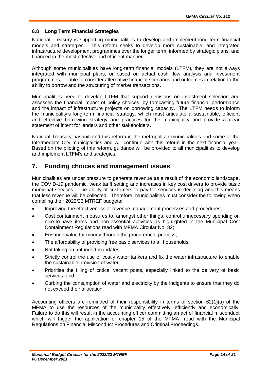#### **6.8 Long Term Financial Strategies**

National Treasury is supporting municipalities to develop and implement long-term financial models and strategies. This reform seeks to develop more sustainable, and integrated infrastructure development programmes over the longer term, informed by strategic plans, and financed in the most effective and efficient manner.

Although some municipalities have long-term financial models (LTFM), they are not always integrated with municipal plans, or based on actual cash flow analysis and investment programmes, or able to consider alternative financial scenarios and outcomes in relation to the ability to borrow and the structuring of market transactions.

Municipalities need to develop LTFM that support decisions on investment selection and assesses the financial impact of policy choices, by forecasting future financial performance and the impact of infrastructure projects on borrowing capacity. The LTFM needs to inform the municipality's long-term financial strategy, which must articulate a sustainable, efficient and effective borrowing strategy and practices for the municipality and provide a clear statement of intent for lenders and other stakeholders.

National Treasury has initiated this reform in the metropolitan municipalities and some of the Intermediate City municipalities and will continue with this reform in the next financial year. Based on the piloting of this reform, guidance will be provided to all municipalities to develop and implement LTFM's and strategies.

## **7. Funding choices and management issues**

Municipalities are under pressure to generate revenue as a result of the economic landscape, the COVID-19 pandemic, weak tariff setting and increases in key cost drivers to provide basic municipal services. The ability of customers to pay for services is declining and this means that less revenue will be collected. Therefore, municipalities must consider the following when compiling their 2022/23 MTREF budgets:

- Improving the effectiveness of revenue management processes and procedures;
- Cost containment measures to, amongst other things, control unnecessary spending on nice-to-have items and non-essential activities as highlighted in the Municipal Cost Containment Regulations read with MFMA Circular No. 82;
- **Ensuring value for money through the procurement process;**
- The affordability of providing free basic services to all households;
- Not taking on unfunded mandates:
- Strictly control the use of costly water tankers and fix the water infrastructure to enable the sustainable provision of water;
- Prioritise the filling of critical vacant posts, especially linked to the delivery of basic services; and
- Curbing the consumption of water and electricity by the indigents to ensure that they do not exceed their allocation.

Accounting officers are reminded of their responsibility in terms of section 62(1)(a) of the MFMA to use the resources of the municipality effectively, efficiently and economically. Failure to do this will result in the accounting officer committing an act of financial misconduct which will trigger the application of chapter 15 of the MFMA, read with the Municipal Regulations on Financial Misconduct Procedures and Criminal Proceedings.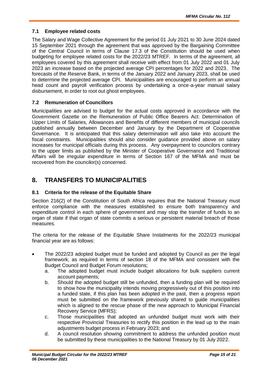#### **7.1 Employee related costs**

The Salary and Wage Collective Agreement for the period 01 July 2021 to 30 June 2024 dated 15 September 2021 through the agreement that was approved by the Bargaining Committee of the Central Council in terms of Clause 17.3 of the Constitution should be used when budgeting for employee related costs for the 2022/23 MTREF. In terms of the agreement, all employees covered by this agreement shall receive with effect from 01 July 2022 and 01 July 2023 an increase based on the projected average CPI percentages for 2022 and 2023. The forecasts of the Reserve Bank, in terms of the January 2022 and January 2023, shall be used to determine the projected average CPI. Municipalities are encouraged to perform an annual head count and payroll verification process by undertaking a once-a-year manual salary disbursement, in order to root out ghost employees.

#### **7.2 Remuneration of Councillors**

Municipalities are advised to budget for the actual costs approved in accordance with the Government Gazette on the Remuneration of Public Office Bearers Act: Determination of Upper Limits of Salaries, Allowances and Benefits of different members of municipal councils published annually between December and January by the Department of Cooperative Governance. It is anticipated that this salary determination will also take into account the fiscal constraints. Municipalities should also consider guidance provided above on salary increases for municipal officials during this process. Any overpayment to councilors contrary to the upper limits as published by the Minister of Cooperative Governance and Traditional Affairs will be irregular expenditure in terms of Section 167 of the MFMA and must be recovered from the councilor(s) concerned.

## **8. TRANSFERS TO MUNICIPALITIES**

#### **8.1 Criteria for the release of the Equitable Share**

Section 216(2) of the Constitution of South Africa requires that the National Treasury must enforce compliance with the measures established to ensure both transparency and expenditure control in each sphere of government and may stop the transfer of funds to an organ of state if that organ of state commits a serious or persistent material breach of those measures.

The criteria for the release of the Equitable Share Instalments for the 2022/23 municipal financial year are as follows:

- The 2022/23 adopted budget must be funded and adopted by Council as per the legal framework, as required in terms of section 18 of the MFMA and consistent with the Budget Council and Budget Forum resolutions;
	- a. The adopted budget must include budget allocations for bulk suppliers current account payments;
	- b. Should the adopted budget still be unfunded, then a funding plan will be required to show how the municipality intends moving progressively out of this position into a funded state, if this plan has been adopted in the past, then a progress report must be submitted on the framework previously shared to guide municipalities which is aligned to the rescue phase of the new approach to Municipal Financial Recovery Service (MFRS);
	- c. Those municipalities that adopted an unfunded budget must work with their respective Provincial Treasuries to rectify this position in the lead up to the main adjustments budget process in February 2023; and
	- d. A council resolution showing commitment to address the unfunded position must be submitted by these municipalities to the National Treasury by 01 July 2022.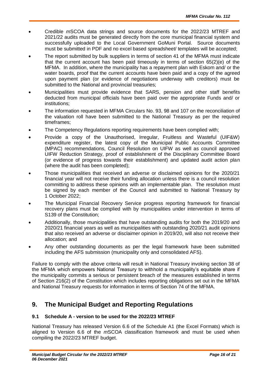- Credible *m*SCOA data strings and source documents for the 2022/23 MTREF and 2021/22 audits must be generated directly from the core municipal financial system and successfully uploaded to the Local Government GoMuni Portal. Source documents must be submitted in PDF and no excel based spreadsheet/ templates will be accepted;
- The report submitted by bulk suppliers in terms of section 41 of the MFMA must indicate that the current account has been paid timeously in terms of section 65(2)(e) of the MFMA. In addition, where the municipality has a repayment plan with Eskom and/ or the water boards, proof that the current accounts have been paid and a copy of the agreed upon payment plan (or evidence of negotiations underway with creditors) must be submitted to the National and provincial treasuries;
- Municipalities must provide evidence that SARS, pension and other staff benefits deducted from municipal officials have been paid over the appropriate Funds and/ or institutions;
- The information requested in MFMA Circulars No. 93, 98 and 107 on the reconciliation of the valuation roll have been submitted to the National Treasury as per the required timeframes;
- The Competency Regulations reporting requirements have been complied with;
- Provide a copy of the Unauthorised, Irregular, Fruitless and Wasteful (UIF&W) expenditure register, the latest copy of the Municipal Public Accounts Committee (MPAC) recommendations, Council Resolution on UIFW as well as council approved UIFW Reduction Strategy, proof of establishment of the Disciplinary Committee Board (or evidence of progress towards their establishment) and updated audit action plan (where the audit has been completed);
- Those municipalities that received an adverse or disclaimed opinions for the 2020/21 financial year will not receive their funding allocation unless there is a council resolution committing to address these opinions with an implementable plan. The resolution must be signed by each member of the Council and submitted to National Treasury by 1 October 2022;
- The Municipal Financial Recovery Service progress reporting framework for financial recovery plans must be complied with by municipalities under intervention in terms of S139 of the Constitution;
- Additionally, those municipalities that have outstanding audits for both the 2019/20 and 2020/21 financial years as well as municipalities with outstanding 2020/21 audit opinions that also received an adverse or disclaimer opinion in 2019/20, will also not receive their allocation; and
- Any other outstanding documents as per the legal framework have been submitted including the AFS submission (municipality only and consolidated AFS).

Failure to comply with the above criteria will result in National Treasury invoking section 38 of the MFMA which empowers National Treasury to withhold a municipality's equitable share if the municipality commits a serious or persistent breach of the measures established in terms of Section 216(2) of the Constitution which includes reporting obligations set out in the MFMA and National Treasury requests for information in terms of Section 74 of the MFMA.

## **9. The Municipal Budget and Reporting Regulations**

#### **9.1 Schedule A - version to be used for the 2022/23 MTREF**

National Treasury has released Version 6.6 of the Schedule A1 (the Excel Formats) which is aligned to Version 6.6 of the *m*SCOA classification framework and must be used when compiling the 2022/23 MTREF budget.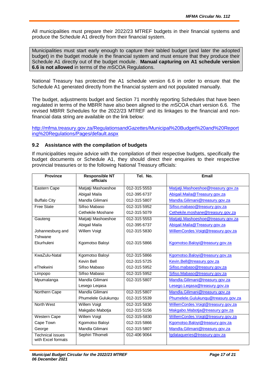All municipalities must prepare their 2022/23 MTREF budgets in their financial systems and produce the Schedule A1 directly from their financial system.

Municipalities must start early enough to capture their tabled budget (and later the adopted budget) in the budget module in the financial system and must ensure that they produce their Schedule A1 directly out of the budget module. **Manual capturing on A1 schedule version 6.6 is not allowed** in terms of the *m*SCOA Regulations.

National Treasury has protected the A1 schedule version 6.6 in order to ensure that the Schedule A1 generated directly from the financial system and not populated manually.

The budget, adjustments budget and Section 71 monthly reporting Schedules that have been regulated in terms of the MBRR have also been aligned to the *m*SCOA chart version 6.6. The revised MBRR Schedules for the 2022/23 MTREF and its linkages to the financial and nonfinancial data string are available on the link below:

http://mfma.treasury.gov.za/RegulationsandGazettes/Municipal%20Budget%20and%20Report ing%20Regulations/Pages/default.aspx

#### **9.2 Assistance with the compilation of budgets**

If municipalities require advice with the compilation of their respective budgets, specifically the budget documents or Schedule A1, they should direct their enquiries to their respective provincial treasuries or to the following National Treasury officials:

| <b>Province</b>                               | <b>Responsible NT</b><br>officials | Tel. No.     | <b>Email</b>                        |
|-----------------------------------------------|------------------------------------|--------------|-------------------------------------|
| <b>Eastern Cape</b>                           | Matjatji Mashoeshoe                | 012-315 5553 | Matjatji.Mashoeshoe@treasury.gov.za |
|                                               | Abigail Maila                      | 012-395 6737 | Abigail.Maila@Treasury.gov.za       |
| <b>Buffalo City</b>                           | Mandla Gilimani                    | 012-315 5807 | Mandla.Gilimani@treasury.gov.za     |
| <b>Free State</b>                             | Sifiso Mabaso                      | 012-315 5952 | Sifiso.mabaso@treasury.gov.za       |
|                                               | Cethekile Moshane                  | 012-315 5079 | Cethekile.moshane@treasury.gov.za   |
| Gauteng                                       | Matjatji Mashoeshoe                | 012-315 5553 | Matjatji.Mashoeshoe@treasury.gov.za |
|                                               | Abigail Maila                      | 012-395 6737 | Abigail.Maila@Treasury.gov.za       |
| Johannesburg and                              | Willem Voigt                       | 012-315 5830 | WillemCordes.Voigt@treasury.gov.za  |
| Tshwane                                       |                                    |              |                                     |
| Ekurhuleni                                    | Kgomotso Baloyi                    | 012-315 5866 | Kgomotso.Baloyi@treasury.gov.za     |
|                                               |                                    |              |                                     |
| KwaZulu-Natal                                 | Kgomotso Baloyi                    | 012-315 5866 | Kgomotso.Baloyi@treasury.gov.za     |
|                                               | Kevin Bell                         | 012-315 5725 | Kevin.Bell@treasury.gov.za          |
| eThekwini                                     | Sifiso Mabaso                      | 012-315 5952 | Sifiso.mabaso@treasury.gov.za       |
| Limpopo                                       | Sifiso Mabaso                      | 012-315 5952 | Sifiso.Mabaso@treasury.gov.za       |
| Mpumalanga                                    | Mandla Gilimani                    | 012-315 5807 | Mandla.Gilimani@treasury.gov.za     |
|                                               | Lesego Leqasa                      |              | Lesego.Legasa@treasury.gov.za       |
| Northern Cape                                 | Mandla Gilimani                    | 012-315 5807 | Mandla. Gilimani@treasury.gov.za    |
|                                               | Phumelele Gulukunqu                | 012-315 5539 | Phumelele.Gulukunqu@treasury.gov.za |
| <b>North West</b>                             | <b>Willem Voigt</b>                | 012-315 5830 | WillemCordes.Voigt@treasury.gov.za  |
|                                               | Makgabo Mabotja                    | 012-315 5156 | Makgabo.Mabotja@treasury.gov.za     |
| <b>Western Cape</b>                           | <b>Willem Voigt</b>                | 012-315-5830 | WillemCordes.Voigt@treasury.gov.za  |
| Cape Town                                     | Kgomotso Baloyi                    | 012-315 5866 | Kgomotso.Baloyi@treasury.gov.za     |
| George                                        | Mandla Gilimani                    | 012-315 5807 | Mandla.Gilimani@treasury.gov.za     |
| <b>Technical issues</b><br>with Excel formats | Sephiri Tlhomeli                   | 012-406 9064 | Igdataqueries@treasury.gov.za       |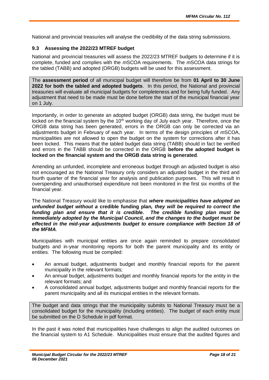National and provincial treasuries will analyse the credibility of the data string submissions.

#### **9.3 Assessing the 2022/23 MTREF budget**

National and provincial treasuries will assess the 2022/23 MTREF budgets to determine if it is complete, funded and complies with the *m*SCOA requirements. The *m*SCOA data strings for the tabled (TABB) and adopted (ORGB) budgets will be used for this assessment.

The **assessment period** of all municipal budget will therefore be from **01 April to 30 June 2022 for both the tabled and adopted budgets**. In this period, the National and provincial treasuries will evaluate all municipal budgets for completeness and for being fully funded. Any adjustment that need to be made must be done before the start of the municipal financial year on 1 July.

Importantly, in order to generate an adopted budget (ORGB) data string, the budget must be locked on the financial system by the 10<sup>th</sup> working day of July each year. Therefore, once the ORGB data string has been generated, errors in the ORGB can only be corrected via an adjustments budget in February of each year. In terms of the design principles of *m*SCOA, municipalities are not allowed to open the budget on the system for corrections after it has been locked. This means that the tabled budget data string (TABB) should in fact be verified and errors in the TABB should be corrected in the ORGB **before the adopted budget is locked on the financial system and the ORGB data string is generated**.

Amending an unfunded, incomplete and erroneous budget through an adjusted budget is also not encouraged as the National Treasury only considers an adjusted budget in the third and fourth quarter of the financial year for analysis and publication purposes. This will result in overspending and unauthorised expenditure not been monitored in the first six months of the financial year.

The National Treasury would like to emphasise that *where municipalities have adopted an unfunded budget without a* **credible funding plan***, they will be required to correct the funding plan and ensure that it is credible. The credible funding plan must be immediately adopted by the Municipal Council, and the changes to the budget must be*  effected in the mid-year adjustments budget to ensure compliance with Section 18 of *the MFMA.*

Municipalities with municipal entities are once again reminded to prepare consolidated budgets and in-year monitoring reports for both the parent municipality and its entity or entities. The following must be compiled:

- An annual budget, adjustments budget and monthly financial reports for the parent municipality in the relevant formats;
- An annual budget, adjustments budget and monthly financial reports for the entity in the relevant formats; and
- A consolidated annual budget, adjustments budget and monthly financial reports for the parent municipality and all its municipal entities in the relevant formats.

The budget and data strings that the municipality submits to National Treasury must be a consolidated budget for the municipality (including entities). The budget of each entity must be submitted on the D Schedule in pdf format.

In the past it was noted that municipalities have challenges to align the audited outcomes on the financial system to A1 Schedule. Municipalities must ensure that the audited figures and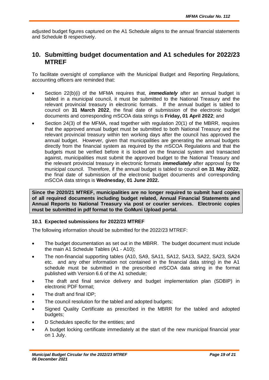adjusted budget figures captured on the A1 Schedule aligns to the annual financial statements and Schedule B respectively.

### **10. Submitting budget documentation and A1 schedules for 2022/23 MTREF**

To facilitate oversight of compliance with the Municipal Budget and Reporting Regulations, accounting officers are reminded that:

- Section 22(b)(i) of the MFMA requires that, *immediately* after an annual budget is tabled in a municipal council, it must be submitted to the National Treasury and the relevant provincial treasury in electronic formats. If the annual budget is tabled to council on **31 March 2022**, the final date of submission of the electronic budget documents and corresponding *m*SCOA data strings is **Friday, 01 April 2022**; and
- Section 24(3) of the MFMA, read together with regulation 20(1) of the MBRR, requires that the approved annual budget must be submitted to both National Treasury and the relevant provincial treasury within ten working days after the council has approved the annual budget. However, given that municipalities are generating the annual budgets directly from the financial system as required by the *m*SCOA Regulations and that the budgets must be verified before it is locked on the financial system and transacted against, municipalities must submit the approved budget to the National Treasury and the relevant provincial treasury in electronic formats *immediately* after approval by the municipal council. Therefore, if the annual budget is tabled to council **on 31 May 2022**, the final date of submission of the electronic budget documents and corresponding *m*SCOA data strings is **Wednesday, 01 June 2022.**

**Since the 2020/21 MTREF, municipalities are no longer required to submit hard copies of all required documents including budget related, Annual Financial Statements and Annual Reports to National Treasury via post or courier services. Electronic copies must be submitted in pdf format to the GoMuni Upload portal.**

#### **10.1 Expected submissions for 2022/23 MTREF**

The following information should be submitted for the 2022/23 MTREF:

- The budget documentation as set out in the MBRR. The budget document must include the main A1 Schedule Tables (A1 - A10);
- The non-financial supporting tables (A10, SA9, SA11, SA12, SA13, SA22, SA23, SA24 etc. and any other information not contained in the financial data string) in the A1 schedule must be submitted in the prescribed *m*SCOA data string in the format published with Version 6.6 of the A1 schedule;
- The draft and final service delivery and budget implementation plan (SDBIP) in electronic PDF format;
- The draft and final IDP;
- The council resolution for the tabled and adopted budgets;
- Signed Quality Certificate as prescribed in the MBRR for the tabled and adopted budgets;
- D Schedules specific for the entities; and
- A budget locking certificate immediately at the start of the new municipal financial year on 1 July.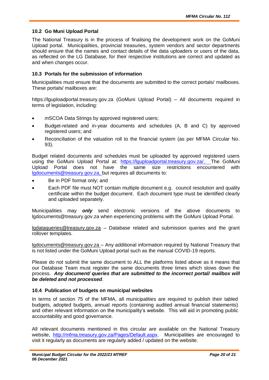#### **10.2 Go Muni Upload Portal**

The National Treasury is in the process of finalising the development work on the GoMuni Upload portal. Municipalities, provincial treasuries, system vendors and sector departments should ensure that the names and contact details of the data uploaders or users of the data, as reflected on the LG Database, for their respective institutions are correct and updated as and when changes occur.

#### **10.3 Portals for the submission of information**

Municipalities must ensure that the documents are submitted to the correct portals/ mailboxes. These portals/ mailboxes are:

https://lguploadportal.treasury.gov.za (GoMuni Upload Portal) – All documents required in terms of legislation, including:

- *m*SCOA Data Strings by approved registered users:
- Budget-related and in-year documents and schedules (A, B and C) by approved registered users; and
- Reconciliation of the valuation roll to the financial system (as per MFMA Circular No. 93).

Budget related documents and schedules must be uploaded by approved registered users using the GoMuni Upload Portal at: https://lguploadportal.treasury.gov.za/. The GoMuni Upload Portal does not have the same size restrictions encountered with lgdocuments@treasury.gov.za, but requires all documents to:

- Be in PDF format only; and
- Each PDF file must NOT contain multiple document e.g. council resolution and quality certificate within the budget document. Each document type must be identified clearly and uploaded separately.

Municipalities may *only* send electronic versions of the above documents to lgdocuments@treasury.gov.za when experiencing problems with the GoMuni Upload Portal.

lgdataqueries@treasury.gov.za – Database related and submission queries and the grant rollover templates.

lgdocuments@treasury.gov.za – Any additional information required by National Treasury that is not listed under the GoMuni Upload portal such as the manual COVID-19 reports.

Please do not submit the same document to ALL the platforms listed above as it means that our Database Team must register the same documents three times which slows down the process. *Any document/ queries that are submitted to the incorrect portal/ mailbox will be deleted and not processed*.

#### **10.4 Publication of budgets on municipal websites**

In terms of section 75 of the MFMA, all municipalities are required to publish their tabled budgets, adopted budgets, annual reports (containing audited annual financial statements) and other relevant information on the municipality's website. This will aid in promoting public accountability and good governance.

All relevant documents mentioned in this circular are available on the National Treasury website, http://mfma.treasury.gov.za/Pages/Default.aspx. Municipalities are encouraged to visit it regularly as documents are regularly added / updated on the website.